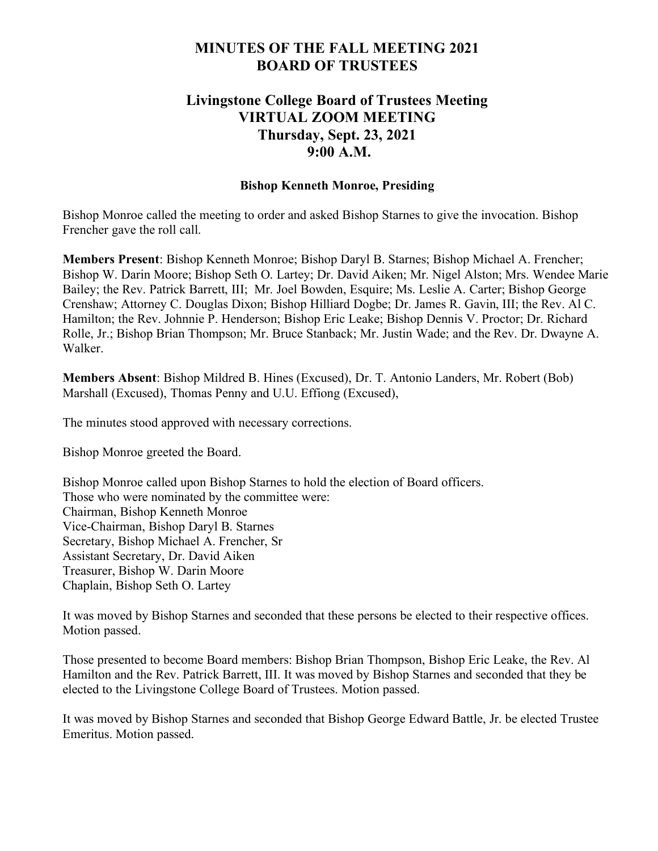# **MINUTES OF THE FALL MEETING 2021 BOARD OF TRUSTEES**

# **Livingstone College Board of Trustees Meeting VIRTUAL ZOOM MEETING Thursday, Sept. 23, 2021 9:00 A.M.**

## **Bishop Kenneth Monroe, Presiding**

Bishop Monroe called the meeting to order and asked Bishop Starnes to give the invocation. Bishop Frencher gave the roll call.

**Members Present**: Bishop Kenneth Monroe; Bishop Daryl B. Starnes; Bishop Michael A. Frencher; Bishop W. Darin Moore; Bishop Seth O. Lartey; Dr. David Aiken; Mr. Nigel Alston; Mrs. Wendee Marie Bailey; the Rev. Patrick Barrett, III; Mr. Joel Bowden, Esquire; Ms. Leslie A. Carter; Bishop George Crenshaw; Attorney C. Douglas Dixon; Bishop Hilliard Dogbe; Dr. James R. Gavin, III; the Rev. Al C. Hamilton; the Rev. Johnnie P. Henderson; Bishop Eric Leake; Bishop Dennis V. Proctor; Dr. Richard Rolle, Jr.; Bishop Brian Thompson; Mr. Bruce Stanback; Mr. Justin Wade; and the Rev. Dr. Dwayne A. Walker.

**Members Absent**: Bishop Mildred B. Hines (Excused), Dr. T. Antonio Landers, Mr. Robert (Bob) Marshall (Excused), Thomas Penny and U.U. Effiong (Excused),

The minutes stood approved with necessary corrections.

Bishop Monroe greeted the Board.

Bishop Monroe called upon Bishop Starnes to hold the election of Board officers. Those who were nominated by the committee were: Chairman, Bishop Kenneth Monroe Vice-Chairman, Bishop Daryl B. Starnes Secretary, Bishop Michael A. Frencher, Sr Assistant Secretary, Dr. David Aiken Treasurer, Bishop W. Darin Moore Chaplain, Bishop Seth O. Lartey

It was moved by Bishop Starnes and seconded that these persons be elected to their respective offices. Motion passed.

Those presented to become Board members: Bishop Brian Thompson, Bishop Eric Leake, the Rev. Al Hamilton and the Rev. Patrick Barrett, III. It was moved by Bishop Starnes and seconded that they be elected to the Livingstone College Board of Trustees. Motion passed.

It was moved by Bishop Starnes and seconded that Bishop George Edward Battle, Jr. be elected Trustee Emeritus. Motion passed.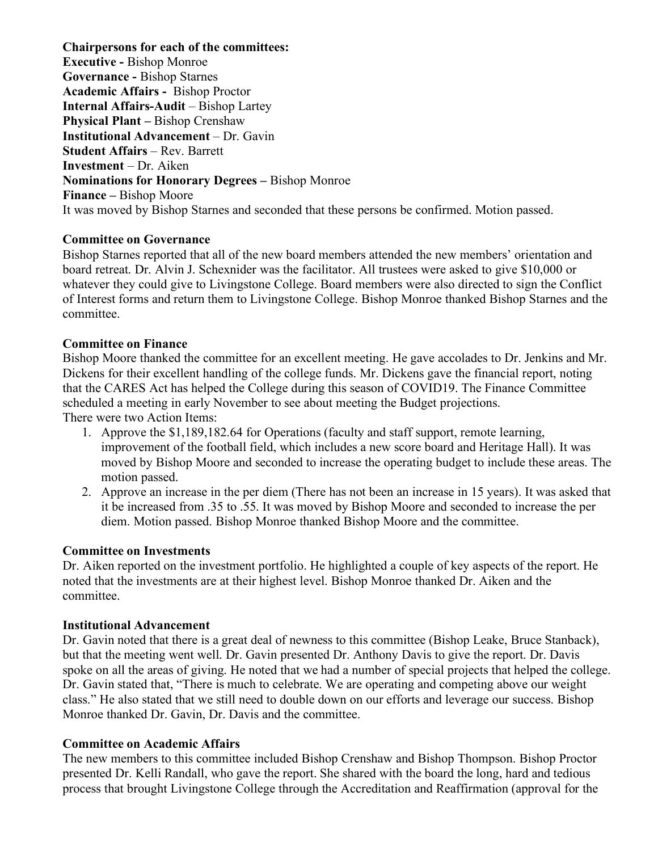**Chairpersons for each of the committees: Executive -** Bishop Monroe **Governance -** Bishop Starnes **Academic Affairs -** Bishop Proctor **Internal Affairs-Audit** – Bishop Lartey **Physical Plant –** Bishop Crenshaw **Institutional Advancement** – Dr. Gavin **Student Affairs** – Rev. Barrett **Investment** – Dr. Aiken **Nominations for Honorary Degrees –** Bishop Monroe **Finance –** Bishop Moore It was moved by Bishop Starnes and seconded that these persons be confirmed. Motion passed.

# **Committee on Governance**

Bishop Starnes reported that all of the new board members attended the new members' orientation and board retreat. Dr. Alvin J. Schexnider was the facilitator. All trustees were asked to give \$10,000 or whatever they could give to Livingstone College. Board members were also directed to sign the Conflict of Interest forms and return them to Livingstone College. Bishop Monroe thanked Bishop Starnes and the committee.

# **Committee on Finance**

Bishop Moore thanked the committee for an excellent meeting. He gave accolades to Dr. Jenkins and Mr. Dickens for their excellent handling of the college funds. Mr. Dickens gave the financial report, noting that the CARES Act has helped the College during this season of COVID19. The Finance Committee scheduled a meeting in early November to see about meeting the Budget projections. There were two Action Items:

- 1. Approve the \$1,189,182.64 for Operations (faculty and staff support, remote learning, improvement of the football field, which includes a new score board and Heritage Hall). It was moved by Bishop Moore and seconded to increase the operating budget to include these areas. The motion passed.
- 2. Approve an increase in the per diem (There has not been an increase in 15 years). It was asked that it be increased from .35 to .55. It was moved by Bishop Moore and seconded to increase the per diem. Motion passed. Bishop Monroe thanked Bishop Moore and the committee.

### **Committee on Investments**

Dr. Aiken reported on the investment portfolio. He highlighted a couple of key aspects of the report. He noted that the investments are at their highest level. Bishop Monroe thanked Dr. Aiken and the committee.

### **Institutional Advancement**

Dr. Gavin noted that there is a great deal of newness to this committee (Bishop Leake, Bruce Stanback), but that the meeting went well. Dr. Gavin presented Dr. Anthony Davis to give the report. Dr. Davis spoke on all the areas of giving. He noted that we had a number of special projects that helped the college. Dr. Gavin stated that, "There is much to celebrate. We are operating and competing above our weight class." He also stated that we still need to double down on our efforts and leverage our success. Bishop Monroe thanked Dr. Gavin, Dr. Davis and the committee.

# **Committee on Academic Affairs**

The new members to this committee included Bishop Crenshaw and Bishop Thompson. Bishop Proctor presented Dr. Kelli Randall, who gave the report. She shared with the board the long, hard and tedious process that brought Livingstone College through the Accreditation and Reaffirmation (approval for the